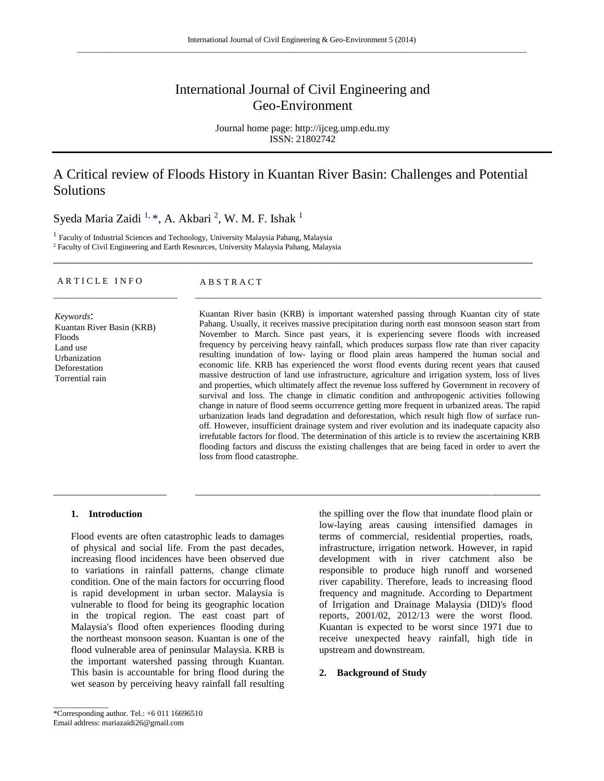# International Journal of Civil Engineering and Geo-Environment

Journal home page: http://ijceg.ump.edu.my ISSN: 21802742

# A Critical review of Floods History in Kuantan River Basin: Challenges and Potential Solutions

\_\_\_\_\_\_\_\_\_\_\_\_\_\_\_\_\_\_\_\_\_\_\_\_\_\_\_\_\_\_\_\_\_\_\_\_\_\_\_\_\_\_\_\_\_\_\_\_\_\_\_\_\_\_\_\_\_\_\_\_\_\_\_\_\_\_\_\_\_\_\_\_\_\_\_\_\_\_\_\_\_

\_\_\_\_\_\_\_\_\_\_\_\_\_\_\_\_\_\_\_\_\_\_\_\_\_\_\_\_ \_\_\_\_\_\_\_\_\_\_\_\_\_\_\_\_\_\_\_\_\_\_\_\_\_\_\_\_\_\_\_\_\_\_\_\_\_\_\_\_\_\_\_\_\_\_\_\_\_\_\_\_\_\_\_\_\_\_\_\_\_\_\_\_\_\_\_\_\_\_\_\_\_\_\_\_\_\_

\_\_\_\_\_\_\_\_\_\_\_\_\_\_\_\_\_\_\_\_\_\_\_ \_\_\_\_\_\_\_\_\_\_\_\_\_\_\_\_\_\_\_\_\_\_\_\_\_\_\_\_\_\_\_\_\_\_\_\_\_\_\_\_\_\_\_\_\_\_\_\_\_\_\_\_\_\_\_\_\_\_\_\_\_\_\_\_\_\_\_\_\_\_

Syeda Maria Zaidi <sup>1, \*</sup>, A. Akbari <sup>2</sup>, W. M. F. Ishak <sup>1</sup>

<sup>1</sup> Faculty of Industrial Sciences and Technology, University Malaysia Pahang, Malaysia <sup>2</sup> Faculty of Civil Engineering and Earth Resources, University Malaysia Pahang, Malaysia

ARTICLE INFO<br>
ABSTRACT

*Keywords*: Kuantan River Basin (KRB) Floods Land use Urbanization Deforestation Torrential rain

Kuantan River basin (KRB) is important watershed passing through Kuantan city of state Pahang. Usually, it receives massive precipitation during north east monsoon season start from November to March. Since past years, it is experiencing severe floods with increased frequency by perceiving heavy rainfall, which produces surpass flow rate than river capacity resulting inundation of low- laying or flood plain areas hampered the human social and economic life. KRB has experienced the worst flood events during recent years that caused massive destruction of land use infrastructure, agriculture and irrigation system, loss of lives and properties, which ultimately affect the revenue loss suffered by Government in recovery of survival and loss. The change in climatic condition and anthropogenic activities following change in nature of flood seems occurrence getting more frequent in urbanized areas. The rapid urbanization leads land degradation and deforestation, which result high flow of surface runoff. However, insufficient drainage system and river evolution and its inadequate capacity also irrefutable factors for flood. The determination of this article is to review the ascertaining KRB flooding factors and discuss the existing challenges that are being faced in order to avert the loss from flood catastrophe.

#### **1. Introduction**

Flood events are often catastrophic leads to damages of physical and social life. From the past decades, increasing flood incidences have been observed due to variations in rainfall patterns, change climate condition. One of the main factors for occurring flood is rapid development in urban sector. Malaysia is vulnerable to flood for being its geographic location in the tropical region. The east coast part of Malaysia's flood often experiences flooding during the northeast monsoon season. Kuantan is one of the flood vulnerable area of peninsular Malaysia. KRB is the important watershed passing through Kuantan. This basin is accountable for bring flood during the wet season by perceiving heavy rainfall fall resulting

the spilling over the flow that inundate flood plain or low-laying areas causing intensified damages in terms of commercial, residential properties, roads, infrastructure, irrigation network. However, in rapid development with in river catchment also be responsible to produce high runoff and worsened river capability. Therefore, leads to increasing flood frequency and magnitude. According to Department of Irrigation and Drainage Malaysia (DID)'s flood reports, 2001/02, 2012/13 were the worst flood. Kuantan is expected to be worst since 1971 due to receive unexpected heavy rainfall, high tide in upstream and downstream.

#### **2. Background of Study**

\_\_\_\_\_\_\_\_\_\_\_\_\_\_

<sup>\*</sup>Corresponding author. Tel.: +6 011 16696510 Email address: mariazaidi26@gmail.com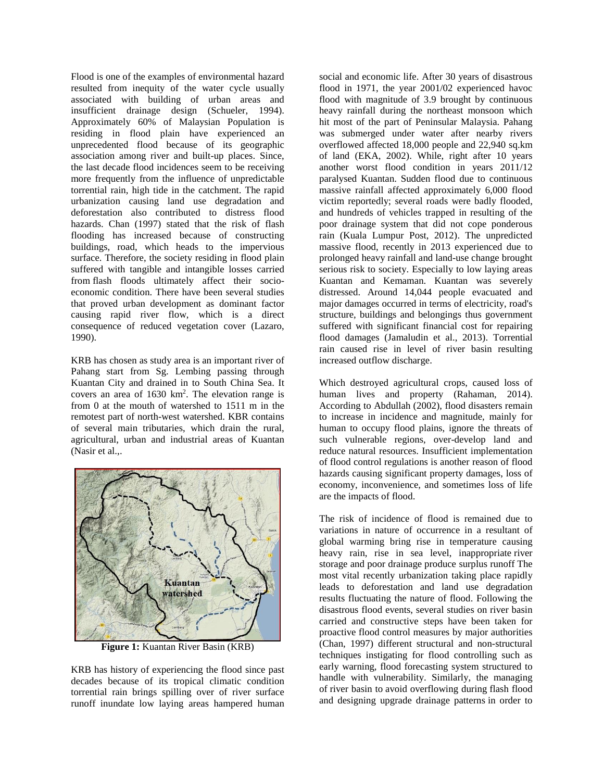Flood is one of the examples of environmental hazard resulted from inequity of the water cycle usually associated with building of urban areas and insufficient drainage design (Schueler, 1994). Approximately 60% of Malaysian Population is residing in flood plain have experienced an unprecedented flood because of its geographic association among river and built-up places. Since, the last decade flood incidences seem to be receiving more frequently from the influence of unpredictable torrential rain, high tide in the catchment. The rapid urbanization causing land use degradation and deforestation also contributed to distress flood hazards. Chan (1997) stated that the risk of flash flooding has increased because of constructing buildings, road, which heads to the impervious surface. Therefore, the society residing in flood plain suffered with tangible and intangible losses carried from flash floods ultimately affect their socioeconomic condition. There have been several studies that proved urban development as dominant factor causing rapid river flow, which is a direct consequence of reduced vegetation cover (Lazaro, 1990).

KRB has chosen as study area is an important river of Pahang start from Sg. Lembing passing through Kuantan City and drained in to South China Sea. It covers an area of  $1630 \text{ km}^2$ . The elevation range is from 0 at the mouth of watershed to 1511 m in the remotest part of north-west watershed. KBR contains of several main tributaries, which drain the rural, agricultural, urban and industrial areas of Kuantan (Nasir et al.,.



**Figure 1:** Kuantan River Basin (KRB)

KRB has history of experiencing the flood since past decades because of its tropical climatic condition torrential rain brings spilling over of river surface runoff inundate low laying areas hampered human

social and economic life. After 30 years of disastrous flood in 1971, the year 2001/02 experienced havoc flood with magnitude of 3.9 brought by continuous heavy rainfall during the northeast monsoon which hit most of the part of Peninsular Malaysia. Pahang was submerged under water after nearby rivers overflowed affected 18,000 people and 22,940 sq.km of land (EKA, 2002). While, right after 10 years another worst flood condition in years 2011/12 paralysed Kuantan. Sudden flood due to continuous massive rainfall affected approximately 6,000 flood victim reportedly; several roads were badly flooded, and hundreds of vehicles trapped in resulting of the poor drainage system that did not cope ponderous rain (Kuala Lumpur Post, 2012). The unpredicted massive flood, recently in 2013 experienced due to prolonged heavy rainfall and land-use change brought serious risk to society. Especially to low laying areas Kuantan and Kemaman. Kuantan was severely distressed. Around 14,044 people evacuated and major damages occurred in terms of electricity, road's structure, buildings and belongings thus government suffered with significant financial cost for repairing flood damages (Jamaludin et al., 2013). Torrential rain caused rise in level of river basin resulting increased outflow discharge.

Which destroyed agricultural crops, caused loss of human lives and property (Rahaman, 2014). According to Abdullah (2002), flood disasters remain to increase in incidence and magnitude, mainly for human to occupy flood plains, ignore the threats of such vulnerable regions, over-develop land and reduce natural resources. Insufficient implementation of flood control regulations is another reason of flood hazards causing significant property damages, loss of economy, inconvenience, and sometimes loss of life are the impacts of flood.

The risk of incidence of flood is remained due to variations in nature of occurrence in a resultant of global warming bring rise in temperature causing heavy rain, rise in sea level, inappropriate river storage and poor drainage produce surplus runoff The most vital recently urbanization taking place rapidly leads to deforestation and land use degradation results fluctuating the nature of flood. Following the disastrous flood events, several studies on river basin carried and constructive steps have been taken for proactive flood control measures by major authorities (Chan, 1997) different structural and non-structural techniques instigating for flood controlling such as early warning, flood forecasting system structured to handle with vulnerability. Similarly, the managing of river basin to avoid overflowing during flash flood and designing upgrade drainage patterns in order to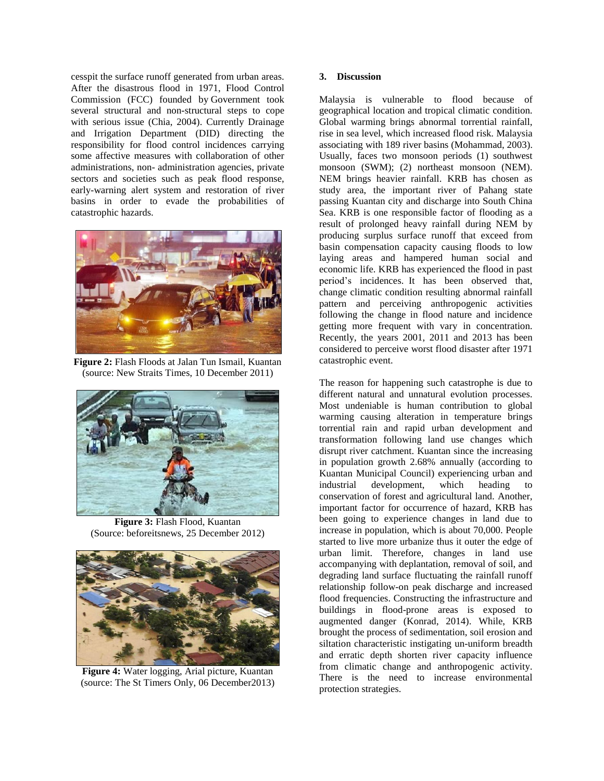cesspit the surface runoff generated from urban areas. After the disastrous flood in 1971, Flood Control Commission (FCC) founded by Government took several structural and non-structural steps to cope with serious issue (Chia, 2004). Currently Drainage and Irrigation Department (DID) directing the responsibility for flood control incidences carrying some affective measures with collaboration of other administrations, non- administration agencies, private sectors and societies such as peak flood response, early-warning alert system and restoration of river basins in order to evade the probabilities of catastrophic hazards.



**Figure 2:** Flash Floods at Jalan Tun Ismail, Kuantan (source: New Straits Times, 10 December 2011)



**Figure 3:** Flash Flood, Kuantan (Source: beforeitsnews, 25 December 2012)



**Figure 4:** Water logging, Arial picture, Kuantan (source: The St Timers Only, 06 December2013)

## **3. Discussion**

Malaysia is vulnerable to flood because of geographical location and tropical climatic condition. Global warming brings abnormal torrential rainfall, rise in sea level, which increased flood risk. Malaysia associating with 189 river basins (Mohammad, 2003). Usually, faces two monsoon periods (1) southwest monsoon (SWM); (2) northeast monsoon (NEM). NEM brings heavier rainfall. KRB has chosen as study area, the important river of Pahang state passing Kuantan city and discharge into South China Sea. KRB is one responsible factor of flooding as a result of prolonged heavy rainfall during NEM by producing surplus surface runoff that exceed from basin compensation capacity causing floods to low laying areas and hampered human social and economic life. KRB has experienced the flood in past period's incidences. It has been observed that, change climatic condition resulting abnormal rainfall pattern and perceiving anthropogenic activities following the change in flood nature and incidence getting more frequent with vary in concentration. Recently, the years 2001, 2011 and 2013 has been considered to perceive worst flood disaster after 1971 catastrophic event.

The reason for happening such catastrophe is due to different natural and unnatural evolution processes. Most undeniable is human contribution to global warming causing alteration in temperature brings torrential rain and rapid urban development and transformation following land use changes which disrupt river catchment. Kuantan since the increasing in population growth 2.68% annually (according to Kuantan Municipal Council) experiencing urban and industrial development, which heading to conservation of forest and agricultural land. Another, important factor for occurrence of hazard, KRB has been going to experience changes in land due to increase in population, which is about 70,000. People started to live more urbanize thus it outer the edge of urban limit. Therefore, changes in land use accompanying with deplantation, removal of soil, and degrading land surface fluctuating the rainfall runoff relationship follow-on peak discharge and increased flood frequencies. Constructing the infrastructure and buildings in flood-prone areas is exposed to augmented danger (Konrad, 2014). While, KRB brought the process of sedimentation, soil erosion and siltation characteristic instigating un-uniform breadth and erratic depth shorten river capacity influence from climatic change and anthropogenic activity. There is the need to increase environmental protection strategies.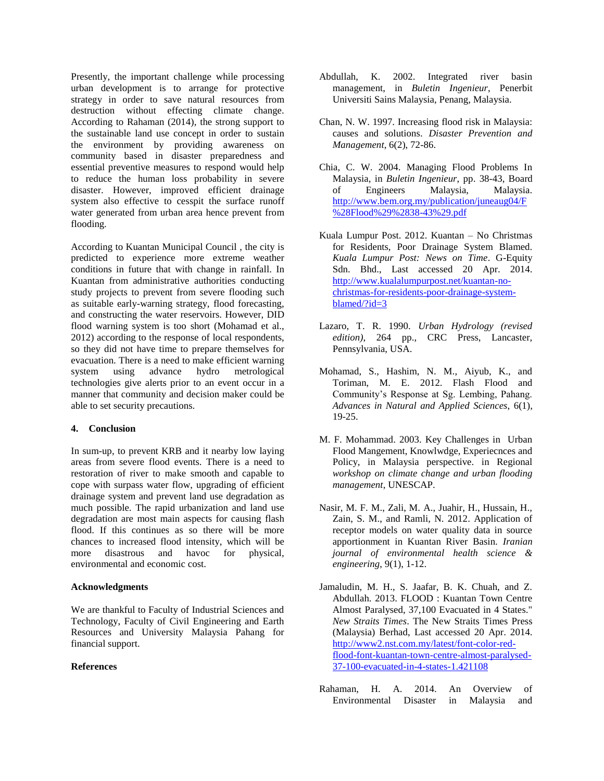Presently, the important challenge while processing urban development is to arrange for protective strategy in order to save natural resources from destruction without effecting climate change. According to Rahaman (2014), the strong support to the sustainable land use concept in order to sustain the environment by providing awareness on community based in disaster preparedness and essential preventive measures to respond would help to reduce the human loss probability in severe disaster. However, improved efficient drainage system also effective to cesspit the surface runoff water generated from urban area hence prevent from flooding.

According to Kuantan Municipal Council , the city is predicted to experience more extreme weather conditions in future that with change in rainfall. In Kuantan from administrative authorities conducting study projects to prevent from severe flooding such as suitable early-warning strategy, flood forecasting, and constructing the water reservoirs. However, DID flood warning system is too short (Mohamad et al., 2012) according to the response of local respondents, so they did not have time to prepare themselves for evacuation. There is a need to make efficient warning system using advance hydro metrological technologies give alerts prior to an event occur in a manner that community and decision maker could be able to set security precautions.

### **4. Conclusion**

In sum-up, to prevent KRB and it nearby low laying areas from severe flood events. There is a need to restoration of river to make smooth and capable to cope with surpass water flow, upgrading of efficient drainage system and prevent land use degradation as much possible. The rapid urbanization and land use degradation are most main aspects for causing flash flood. If this continues as so there will be more chances to increased flood intensity, which will be more disastrous and havoc for physical, environmental and economic cost.

# **Acknowledgments**

We are thankful to Faculty of Industrial Sciences and Technology, Faculty of Civil Engineering and Earth Resources and University Malaysia Pahang for financial support.

# **References**

- Abdullah, K. 2002. Integrated river basin management, in *Buletin Ingenieur*, Penerbit Universiti Sains Malaysia, Penang, Malaysia.
- Chan, N. W. 1997. Increasing flood risk in Malaysia: causes and solutions. *Disaster Prevention and Management*, 6(2), 72-86.
- Chia, C. W. 2004. Managing Flood Problems In Malaysia, in *Buletin Ingenieur*, pp. 38-43, Board of Engineers Malaysia, Malaysia. [http://www.bem.org.my/publication/juneaug04/F](http://www.bem.org.my/publication/juneaug04/F%28Flood%29%2838-43%29.pdf) [%28Flood%29%2838-43%29.pdf](http://www.bem.org.my/publication/juneaug04/F%28Flood%29%2838-43%29.pdf)
- Kuala Lumpur Post. 2012. Kuantan No Christmas for Residents, Poor Drainage System Blamed. *Kuala Lumpur Post: News on Time*. G-Equity Sdn. Bhd., Last accessed 20 Apr. 2014. [http://www.kualalumpurpost.net/kuantan-no](http://www.kualalumpurpost.net/kuantan-no-christmas-for-residents-poor-drainage-system-blamed/?id=3)[christmas-for-residents-poor-drainage-system](http://www.kualalumpurpost.net/kuantan-no-christmas-for-residents-poor-drainage-system-blamed/?id=3)[blamed/?id=3](http://www.kualalumpurpost.net/kuantan-no-christmas-for-residents-poor-drainage-system-blamed/?id=3)
- Lazaro, T. R. 1990. *Urban Hydrology (revised edition)*, 264 pp., CRC Press, Lancaster, Pennsylvania, USA.
- Mohamad, S., Hashim, N. M., Aiyub, K., and Toriman, M. E. 2012. Flash Flood and Community's Response at Sg. Lembing, Pahang. *Advances in Natural and Applied Sciences*, 6(1), 19-25.
- M. F. Mohammad. 2003. Key Challenges in Urban Flood Mangement, Knowlwdge, Experiecnces and Policy, in Malaysia perspective. in Regional *workshop on climate change and urban flooding management*, UNESCAP.
- Nasir, M. F. M., Zali, M. A., Juahir, H., Hussain, H., Zain, S. M., and Ramli, N. 2012. Application of receptor models on water quality data in source apportionment in Kuantan River Basin. *Iranian journal of environmental health science & engineering*, 9(1), 1-12.
- Jamaludin, M. H., S. Jaafar, B. K. Chuah, and Z. Abdullah. 2013. FLOOD : Kuantan Town Centre Almost Paralysed, 37,100 Evacuated in 4 States." *New Straits Times*. The New Straits Times Press (Malaysia) Berhad, Last accessed 20 Apr. 2014. [http://www2.nst.com.my/latest/font-color-red](http://www2.nst.com.my/latest/font-color-red-flood-font-kuantan-town-centre-almost-paralysed-37-100-evacuated-in-4-states-1.421108)[flood-font-kuantan-town-centre-almost-paralysed-](http://www2.nst.com.my/latest/font-color-red-flood-font-kuantan-town-centre-almost-paralysed-37-100-evacuated-in-4-states-1.421108)[37-100-evacuated-in-4-states-1.421108](http://www2.nst.com.my/latest/font-color-red-flood-font-kuantan-town-centre-almost-paralysed-37-100-evacuated-in-4-states-1.421108)
- Rahaman, H. A. 2014. An Overview of Environmental Disaster in Malaysia and